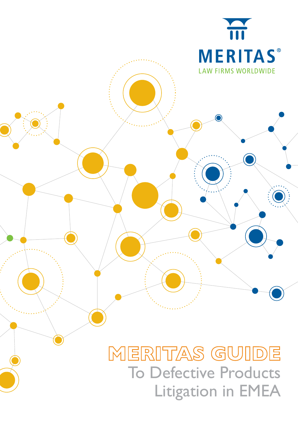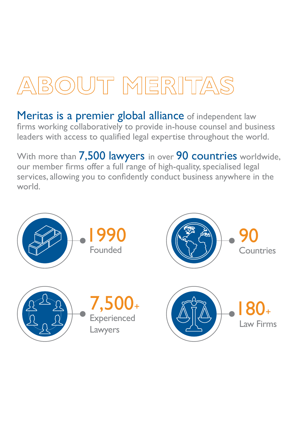# BOUT MERITAS

Meritas is a premier global alliance of independent law firms working collaboratively to provide in-house counsel and business leaders with access to qualified legal expertise throughout the world.

With more than 7,500 lawyers in over 90 countries worldwide, our member firms offer a full range of high-quality, specialised legal services, allowing you to confidently conduct business anywhere in the world.

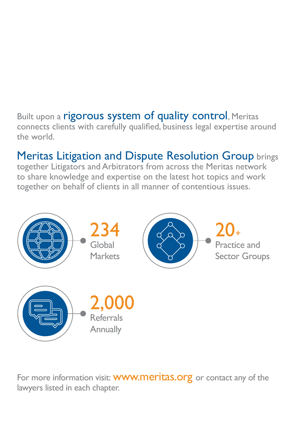### Built upon a rigorous system of quality control, Meritas connects clients with carefully qualified, business legal expertise around the world.

## Meritas Litigation and Dispute Resolution Group brings

together Litigators and Arbitrators from across the Meritas network to share knowledge and expertise on the latest hot topics and work together on behalf of clients in all manner of contentious issues.



For more information visit: **WWW.meritas.org** or contact any of the lawyers listed in each chapter.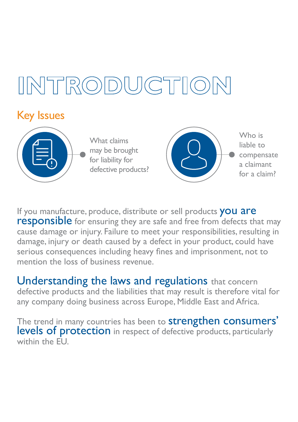# $R$ O

### Key Issues



What claims may be brought for liability for defective products?



Who is liable to compensate a claimant for a claim?

If you manufacture, produce, distribute or sell products you are<br>responsible for ensuring they are safe and free from defects that may cause damage or injury. Failure to meet your responsibilities, resulting in damage, injury or death caused by a defect in your product, could have serious consequences including heavy fines and imprisonment, not to mention the loss of business revenue.

Understanding the laws and regulations that concern defective products and the liabilities that may result is therefore vital for any company doing business across Europe, Middle East and Africa.

The trend in many countries has been to **strengthen consumers'** levels of protection in respect of defective products, particularly within the FU.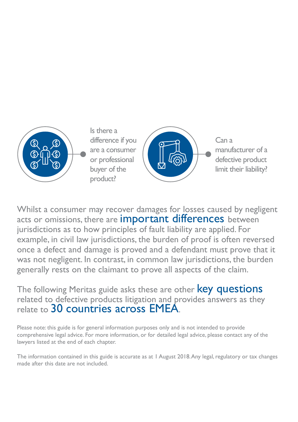

Whilst a consumer may recover damages for losses caused by negligent acts or omissions, there are **important differences** between jurisdictions as to how principles of fault liability are applied. For example, in civil law jurisdictions, the burden of proof is often reversed once a defect and damage is proved and a defendant must prove that it was not negligent. In contrast, in common law jurisdictions, the burden generally rests on the claimant to prove all aspects of the claim.

The following Meritas guide asks these are other **key questions** related to defective products litigation and provides answers as they relate to 30 countries across EMEA.

Please note: this guide is for general information purposes only and is not intended to provide comprehensive legal advice. For more information, or for detailed legal advice, please contact any of the lawyers listed at the end of each chapter.

The information contained in this guide is accurate as at 1 August 2018. Any legal, regulatory or tax changes made after this date are not included.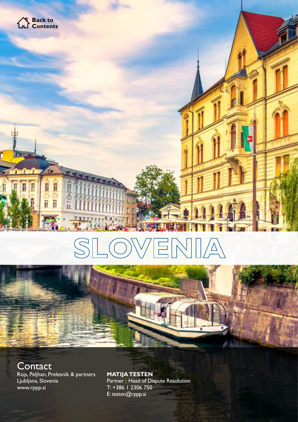





**Contact** Rojs, Peljhan, Prelesnik & partners Ljubljana, Slovenia [www.rppp.si](http://www.rppp.si)

**MATIJA TESTEN**  Partner | Head of Dispute Resolution T: +386 1 2306 750 E: testen@rppp.si

MERITAS GUIDE TO DEFECTIVE PRODUCTS LITIGATION IN EMERITAS CONTINUES.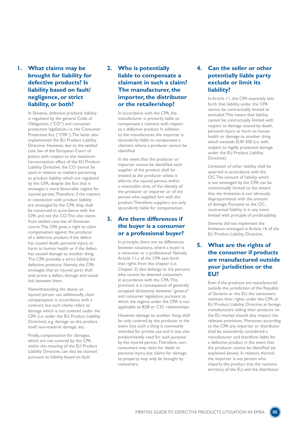#### **1. What claims may be brought for liability for defective products? Is liability based on fault/ negligence, or strict liability, or both?**

In Slovenia, defective products liability is regulated by the general Code of Obligations ("CO") and consumer protection legislation, i.e. the Consumer Protection Act ("CPA"). The latter also implemented the EU Product Liability Directive. However, due to the settled case law of the European Court of Justice with respect to the maximum harmonization effect of the EU Product Liability Directive, the CO cannot be used in relation to matters pertaining to product liability which are regulated by the CPA, despite the fact that it envisages a more favourable regime for injured parties. Therefore, if the matters in connection with product liability are envisaged by the CPA, they shall be construed in accordance with the CPA and not the CO. This also stems from settled case law of Slovenian courts. The CPA gives a right to claim compensation against the producer of a defective product, if the defect has caused death, personal injury or harm to human health or if the defect has caused damage to another thing. The CPA provides a strict liability for defective products. Namely, the CPA envisages that an injured party shall only prove a defect, damage and causal link between them.

Notwithstanding the above, an injured person can additionally claim compensation in accordance with a contract, but such claims refers to damage which is not covered under the CPA (i.e. under the EU Product Liability Directive), e.g. damage on the product itself, non-material damage, etc.

Finally, compensation for damages, which are not covered by the CPA within the meaning of the EU Product Liability Directive, can also be claimed pursuant to liability based on fault.

#### **2. Who is potentially liable to compensate a claimant in such a claim? The manufacturer, the importer, the distributor or the retailer/shop?**

In accordance with the CPA, the manufacturer is primarily liable to compensate a claimant with respect to a defective product. In addition to the manufacturer, the importer is secondarily liable to compensate a claimant, where a producer cannot be identified.

In the event that the producer or importer cannot be identified, each supplier of the product shall be treated as the producer unless it informs the injured person, within a reasonable time, of the identity of the producer or importer or of the person who supplied him with the product. Therefore, suppliers are only secondarily liable for compensation.

#### **3. Are there differences if the buyer is a consumer or a professional buyer?**

In principle, there are no differences between situations, where a buyer is a consumer or a professional. Namely, Article 11.a of the CPA sets forth that rights from this chapter (i.e. Chapter 2) also belongs to the persons, who cannot be deemed consumers in accordance with the CPA. This provision is a consequence of generally accepted dichotomy between "general" and consumer legislation, pursuant to which the regime under the CPA is not applicable to B2B or C2C relationships.

However, damage to another thing shall be only covered by the producer in the event that such a thing is commonly intended for private use and it was also predominantly used for such purpose by the injured person. Therefore, nonconsumers may claim for death or personal injury, but claims for damage to property may only be brought by consumers.

#### **4. Can the seller or other potentially liable party exclude or limit its liability?**

In Article 11, the CPA expressly sets forth that liability under the CPA cannot be contractually limited or excluded. This means that liability cannot be contractually limited with respect to damage caused by death, personal injury or harm to human health or damage to another thing which exceeds EUR 500 (i.e. with respect to legally protected damage under the EU Product Liability Directive).

Limitation of other liability shall be asserted in accordance with the OC. The amount of liability which is not envisaged by the CPA can be contractually limited to the extent that the limitation is not obviously disproportional with the amount of damage. Pursuant to the OC, contractual liability is in any event limited with principle of predictability.

Slovenia did not implement the limitation envisaged in Article 16 of the EU Product Liability Directive.

**5. What are the rights of the consumer if products are manufactured outside your jurisdiction or the EU?**

> Even if the products are manufactured outside the jurisdiction of the Republic of Slovenia or the EU, the consumers maintain their rights under the CPA or EU Product Liability Directive as foreign manufacturers selling their products on the EU market should also respect the relevant provisions. Moreover, according to the CPA any importer or distributor shall be secondarily considered a manufacturer and therefore liable for a defective product in the event that the producer cannot be identified (as explained above). In relation, thereof, the importer is any person who imports the product into the customs territory of the EU, and the distributor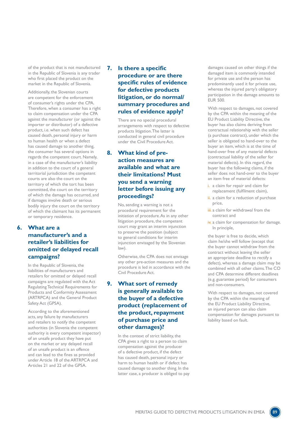of the product that is not manufactured in the Republic of Slovenia is any trader who first placed the product on the market in the Republic of Slovenia.

Additionally, the Slovenian courts are competent for the enforcement of consumer's rights under the CPA. Therefore, when a consumer has a right to claim compensation under the CPA against the manufacturer (or against the importer or distributor) of a defective product, i.e. when such defect has caused death, personal injury or harm to human health or when a defect has caused damage to another thing, the consumer has several options in regards the competent court. Namely, in a case of the manufacturer's liability in addition to the court of a general territorial jurisdiction the competent courts are also the court on the territory of which the tort has been committed, the court on the territory of which the damage has occurred, and if damages involve death or serious bodily injury the court on the territory of which the claimant has its permanent or temporary residence.

#### **6. What are a manufacturer's and a retailer's liabilities for omitted or delayed recall campaigns?**

In the Republic of Slovenia, the liabilities of manufacturers and retailers for omitted or delayed recall campaigns are regulated with the Act Regulating Technical Requirements for Products and Conformity Assessment (ARTRPCA) and the General Product Safety Act (GPSA).

According to the aforementioned acts, any failure by manufacturers and retailers to notify the competent authorities (in Slovenia the competent authority is every competent inspector) of an unsafe product they have put on the market or any delayed recall of an unsafe product is an offence and can lead to the fines as provided under Article 18 of the ARTRPCA and Articles 21 and 22 of the GPSA.

#### **7. Is there a specific procedure or are there specific rules of evidence for defective products litigation, or do normal/ summary procedures and rules of evidence apply?**

There are no special procedural arrangements with respect to defective products litigation. The latter is conducted in general civil procedure under the Civil Procedure Act.

#### **8. What kind of preaction measures are available and what are their limitations? Must you send a warning letter before issuing any proceedings?**

No, sending a warning is not a procedural requirement for the initiation of procedure. As in any other litigation procedure, the competent court may grant an interim injunction to preserve the position (subject to general conditions for interim injunction envisaged by the Slovenian law).

Otherwise, the CPA does not envisage any other pre-action measures and the procedure is led in accordance with the Civil Procedure Act.

#### **9. What sort of remedy is generally available to the buyer of a defective product (replacement of the product, repayment of purchase price and other damages)?**

In the context of strict liability, the CPA gives a right to a person to claim compensation against the producer of a defective product, if the defect has caused death, personal injury or harm to human health or if defect has caused damage to another thing. In the latter case, a producer is obliged to pay

damages caused on other things if the damaged item is commonly intended for private use and the person has predominantly used it for private use, whereas the injured party's obligatory participation in the damage amounts to EUR 500.

With respect to damages, not covered by the CPA within the meaning of the EU Product Liability Directive, the buyer has also claims deriving from contractual relationship with the seller (a purchase contract), under which the seller is obligated to hand-over to the buyer an item, which is at the time of hand-over free of any material defects (contractual liability of the seller for material defects). In this regard, the buyer has the following claims, if the seller does not hand-over to the buyer an item free of material defects:

- i. a claim for repair and claim for replacement (fulfilment claim),
- ii. a claim for a reduction of purchase price,
- iii. a claim for withdrawal from the contract and
- iv. a claim for compensation for damage. In principle,

the buyer is free to decide, which claim he/she will follow (except that the buyer cannot withdraw from the contract without leaving the seller an appropriate deadline to rectify a defect), whereas a damage claim may be combined with all other claims. The CO and CPA determine different deadlines (e.g. guarantee period) for consumers and non-consumers.

With respect to damages, not covered by the CPA within the meaning of the EU Product Liability Directive, an injured person can also claim compensation for damages pursuant to liability based on fault.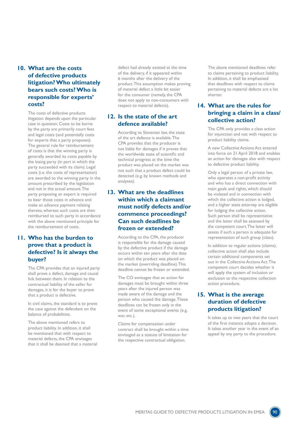#### **10. What are the costs of defective products litigation? Who ultimately bears such costs? Who is responsible for experts' costs?**

The costs of defective products litigation depends upon the particular case in question. Costs to be borne by the party are primarily court fees and legal costs (and potentially costs for experts that a party proposes). The general rule for reimbursement of costs is that the winning party is generally awarded its costs payable by the losing party (in part in which the party succeeded with its claim). Legal costs (i.e. the costs of representation) are awarded to the winning party in the amount prescribed by the legislation and not in the actual amount. The party proposing an expert is required to bear those costs in advance and make an advance payment relating thereto, whereas such costs are then reimbursed to such party in accordance with the above mentioned principle for the reimbursement of costs.

#### **11. Who has the burden to prove that a product is defective? Is it always the buyer?**

The CPA provides that an injured party shall prove a defect, damage and causal link between them. In relation to the contractual liability of the seller for damages, it is for the buyer to prove that a product is defective.

In civil claims, the standard is to prove the case against the defendant on the balance of probabilities.

The above mentioned refers to product liability. In addition, it shall be mentioned that with respect to material defects, the CPA envisages that it shall be deemed that a material

defect had already existed at the time of the delivery, if it appeared within 6 months after the delivery of the product. This assumption makes proving of material defect a little bit easier for the consumer (namely, the CPA does not apply to non-consumers with respect to material defects).

#### **12. Is the state of the art defence available?**

According to Slovenian law, the state of the art defence is available. The CPA provides that the producer is not liable for damages if it proves that the worldwide state of scientific and technical progress at the time the product was placed on the market was not such that a product defect could be detected (e.g. by known methods and analyses).

#### **13. What are the deadlines within which a claimant must notify defects and/or commence proceedings? Can such deadlines be frozen or extended?**

According to the CPA, the producer is responsible for the damage caused by the defective product if the damage occurs within ten years after the date on which the product was placed on the market (overriding deadline). This deadline cannot be frozen or extended.

The CO envisages that an action for damages must be brought within three years after the injured person was made aware of the damage and the person who caused the damage. These deadlines can be frozen only in the event of some exceptional events (e.g. war, etc.).

Claims for compensation under contract shall be brought within a time envisaged as a statute of limitation for the respective contractual obligation.

The above mentioned deadlines refer to claims pertaining to product liability. In addition, it shall be emphasised that deadlines with respect to claims pertaining to material defects are a lot shorter.

#### **14. What are the rules for bringing a claim in a class/ collective action?**

The CPA only provides a class action for injunction and not with respect to product liability claims.

A new Collective Actions Act entered into force on 21 April 2018 and enables an action for damages also with respect to defective product liability.

Only a legal person of a private law, who operates a non-profit activity and who has a direct connection with main goals and rights, which should be violated and in connection with which the collective action is lodged, and a higher state attorney are eligible for lodging the collective action. Such person shall be representative and the latter shall be assessed by the competent court. The latter will assess if such a person is adequate for representation of such group (class).

In addition to regular actions (claims), collective action shall also include certain additional components set out in the Collective Actions Act. The competent court decides whether it will apply the system of inclusion or exclusion to the respective collection action procedure.

#### **15. What is the average duration of defective products litigation?**

It takes up to two years that the court of the first instance adopts a decision. It takes another year in the event of an appeal by any party to the procedure.